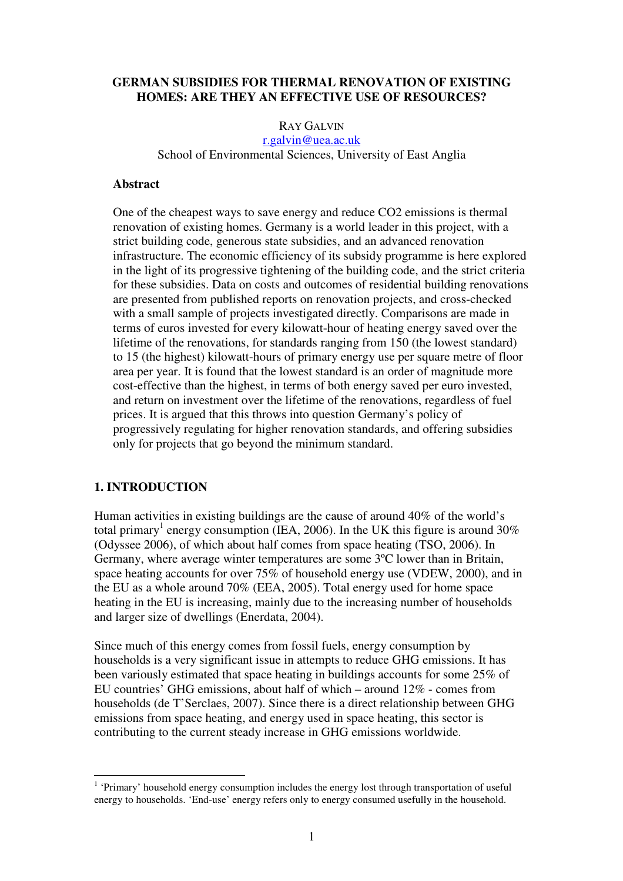#### **GERMAN SUBSIDIES FOR THERMAL RENOVATION OF EXISTING HOMES: ARE THEY AN EFFECTIVE USE OF RESOURCES?**

### RAY GALVIN r.galvin@uea.ac.uk School of Environmental Sciences, University of East Anglia

#### **Abstract**

One of the cheapest ways to save energy and reduce CO2 emissions is thermal renovation of existing homes. Germany is a world leader in this project, with a strict building code, generous state subsidies, and an advanced renovation infrastructure. The economic efficiency of its subsidy programme is here explored in the light of its progressive tightening of the building code, and the strict criteria for these subsidies. Data on costs and outcomes of residential building renovations are presented from published reports on renovation projects, and cross-checked with a small sample of projects investigated directly. Comparisons are made in terms of euros invested for every kilowatt-hour of heating energy saved over the lifetime of the renovations, for standards ranging from 150 (the lowest standard) to 15 (the highest) kilowatt-hours of primary energy use per square metre of floor area per year. It is found that the lowest standard is an order of magnitude more cost-effective than the highest, in terms of both energy saved per euro invested, and return on investment over the lifetime of the renovations, regardless of fuel prices. It is argued that this throws into question Germany's policy of progressively regulating for higher renovation standards, and offering subsidies only for projects that go beyond the minimum standard.

### **1. INTRODUCTION**

 $\overline{a}$ 

Human activities in existing buildings are the cause of around 40% of the world's total primary<sup>1</sup> energy consumption (IEA, 2006). In the UK this figure is around 30% (Odyssee 2006), of which about half comes from space heating (TSO, 2006). In Germany, where average winter temperatures are some 3ºC lower than in Britain, space heating accounts for over 75% of household energy use (VDEW, 2000), and in the EU as a whole around 70% (EEA, 2005). Total energy used for home space heating in the EU is increasing, mainly due to the increasing number of households and larger size of dwellings (Enerdata, 2004).

Since much of this energy comes from fossil fuels, energy consumption by households is a very significant issue in attempts to reduce GHG emissions. It has been variously estimated that space heating in buildings accounts for some 25% of EU countries' GHG emissions, about half of which – around 12% - comes from households (de T'Serclaes, 2007). Since there is a direct relationship between GHG emissions from space heating, and energy used in space heating, this sector is contributing to the current steady increase in GHG emissions worldwide.

<sup>&</sup>lt;sup>1</sup> 'Primary' household energy consumption includes the energy lost through transportation of useful energy to households. 'End-use' energy refers only to energy consumed usefully in the household.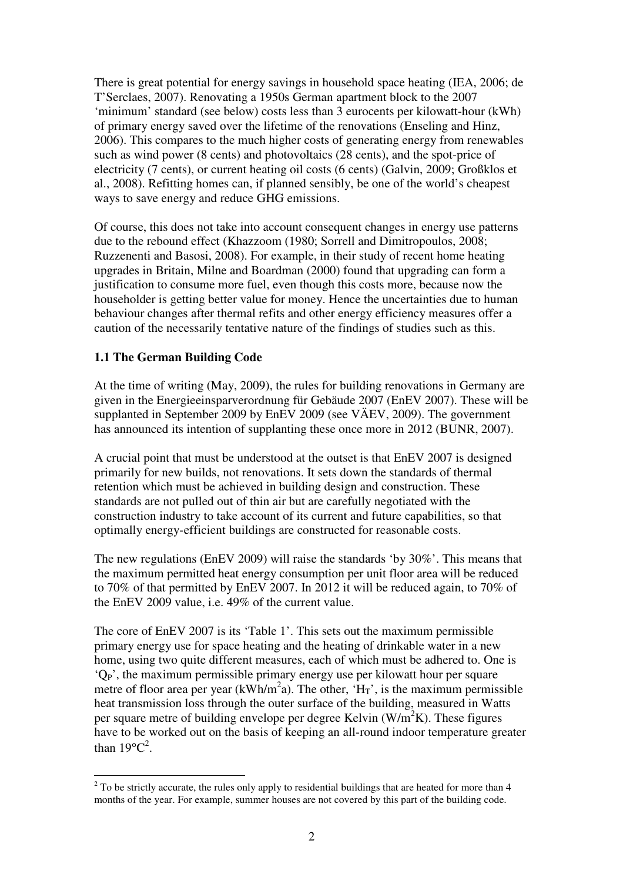There is great potential for energy savings in household space heating (IEA, 2006; de T'Serclaes, 2007). Renovating a 1950s German apartment block to the 2007 'minimum' standard (see below) costs less than 3 eurocents per kilowatt-hour (kWh) of primary energy saved over the lifetime of the renovations (Enseling and Hinz, 2006). This compares to the much higher costs of generating energy from renewables such as wind power (8 cents) and photovoltaics (28 cents), and the spot-price of electricity (7 cents), or current heating oil costs (6 cents) (Galvin, 2009; Großklos et al., 2008). Refitting homes can, if planned sensibly, be one of the world's cheapest ways to save energy and reduce GHG emissions.

Of course, this does not take into account consequent changes in energy use patterns due to the rebound effect (Khazzoom (1980; Sorrell and Dimitropoulos, 2008; Ruzzenenti and Basosi, 2008). For example, in their study of recent home heating upgrades in Britain, Milne and Boardman (2000) found that upgrading can form a justification to consume more fuel, even though this costs more, because now the householder is getting better value for money. Hence the uncertainties due to human behaviour changes after thermal refits and other energy efficiency measures offer a caution of the necessarily tentative nature of the findings of studies such as this.

# **1.1 The German Building Code**

At the time of writing (May, 2009), the rules for building renovations in Germany are given in the Energieeinsparverordnung für Gebäude 2007 (EnEV 2007). These will be supplanted in September 2009 by EnEV 2009 (see VÄEV, 2009). The government has announced its intention of supplanting these once more in 2012 (BUNR, 2007).

A crucial point that must be understood at the outset is that EnEV 2007 is designed primarily for new builds, not renovations. It sets down the standards of thermal retention which must be achieved in building design and construction. These standards are not pulled out of thin air but are carefully negotiated with the construction industry to take account of its current and future capabilities, so that optimally energy-efficient buildings are constructed for reasonable costs.

The new regulations (EnEV 2009) will raise the standards 'by 30%'. This means that the maximum permitted heat energy consumption per unit floor area will be reduced to 70% of that permitted by EnEV 2007. In 2012 it will be reduced again, to 70% of the EnEV 2009 value, i.e. 49% of the current value.

The core of EnEV 2007 is its 'Table 1'. This sets out the maximum permissible primary energy use for space heating and the heating of drinkable water in a new home, using two quite different measures, each of which must be adhered to. One is  $^{\circ}O_{P}$ , the maximum permissible primary energy use per kilowatt hour per square metre of floor area per year ( $kWh/m^2a$ ). The other, 'H<sub>T</sub>', is the maximum permissible heat transmission loss through the outer surface of the building, measured in Watts per square metre of building envelope per degree Kelvin  $(W/m<sup>2</sup>K)$ . These figures have to be worked out on the basis of keeping an all-round indoor temperature greater than  $19^{\circ}C^2$ .

 $\overline{a}$  $2^{2}$  To be strictly accurate, the rules only apply to residential buildings that are heated for more than 4 months of the year. For example, summer houses are not covered by this part of the building code.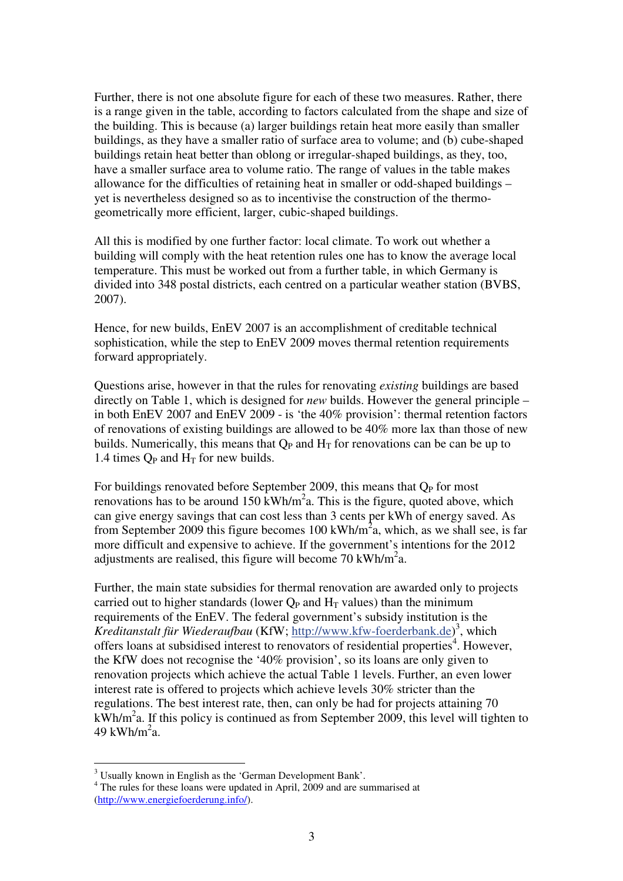Further, there is not one absolute figure for each of these two measures. Rather, there is a range given in the table, according to factors calculated from the shape and size of the building. This is because (a) larger buildings retain heat more easily than smaller buildings, as they have a smaller ratio of surface area to volume; and (b) cube-shaped buildings retain heat better than oblong or irregular-shaped buildings, as they, too, have a smaller surface area to volume ratio. The range of values in the table makes allowance for the difficulties of retaining heat in smaller or odd-shaped buildings – yet is nevertheless designed so as to incentivise the construction of the thermogeometrically more efficient, larger, cubic-shaped buildings.

All this is modified by one further factor: local climate. To work out whether a building will comply with the heat retention rules one has to know the average local temperature. This must be worked out from a further table, in which Germany is divided into 348 postal districts, each centred on a particular weather station (BVBS, 2007).

Hence, for new builds, EnEV 2007 is an accomplishment of creditable technical sophistication, while the step to EnEV 2009 moves thermal retention requirements forward appropriately.

Questions arise, however in that the rules for renovating *existing* buildings are based directly on Table 1, which is designed for *new* builds. However the general principle – in both EnEV 2007 and EnEV 2009 - is 'the 40% provision': thermal retention factors of renovations of existing buildings are allowed to be 40% more lax than those of new builds. Numerically, this means that  $Q_P$  and  $H_T$  for renovations can be can be up to 1.4 times  $Q_P$  and  $H_T$  for new builds.

For buildings renovated before September 2009, this means that  $O<sub>P</sub>$  for most renovations has to be around  $150 \text{ kWh/m}^2$ a. This is the figure, quoted above, which can give energy savings that can cost less than 3 cents per kWh of energy saved. As from September 2009 this figure becomes  $100 \text{ kWh/m}^2$ a, which, as we shall see, is far more difficult and expensive to achieve. If the government's intentions for the 2012 adjustments are realised, this figure will become 70 kWh/ $m<sup>2</sup>$ a.

Further, the main state subsidies for thermal renovation are awarded only to projects carried out to higher standards (lower  $Q_P$  and  $H_T$  values) than the minimum requirements of the EnEV. The federal government's subsidy institution is the Kreditanstalt für Wiederaufbau (KfW; http://www.kfw-foerderbank.de)<sup>3</sup>, which offers loans at subsidised interest to renovators of residential properties<sup>4</sup>. However, the KfW does not recognise the '40% provision', so its loans are only given to renovation projects which achieve the actual Table 1 levels. Further, an even lower interest rate is offered to projects which achieve levels 30% stricter than the regulations. The best interest rate, then, can only be had for projects attaining 70  $kWh/m<sup>2</sup>a$ . If this policy is continued as from September 2009, this level will tighten to 49 kWh/m<sup>2</sup>a.

 $\overline{a}$ 

 $3$  Usually known in English as the 'German Development Bank'.

<sup>&</sup>lt;sup>4</sup> The rules for these loans were updated in April, 2009 and are summarised at (http://www.energiefoerderung.info/).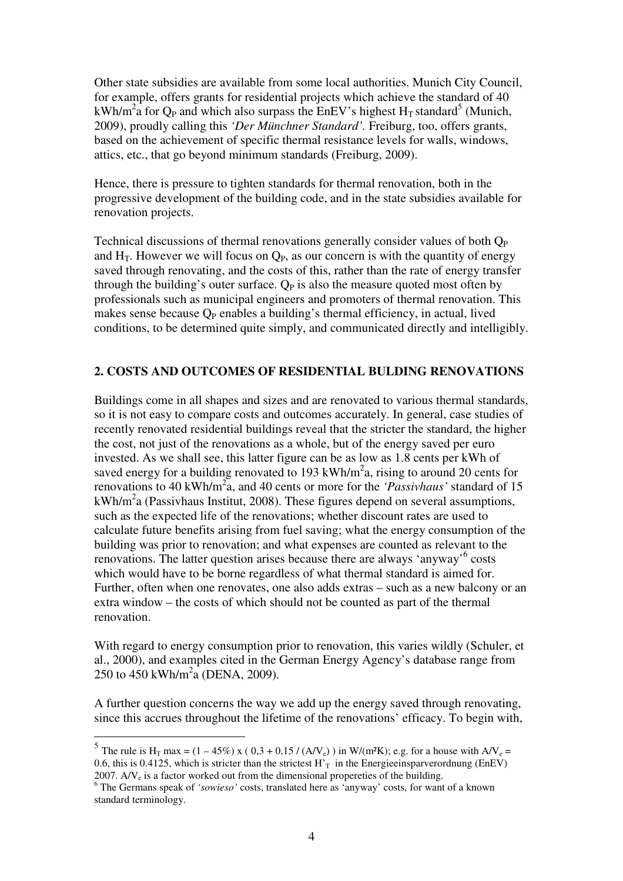Other state subsidies are available from some local authorities. Munich City Council, for example, offers grants for residential projects which achieve the standard of 40 kWh/m<sup>2</sup>a for Q<sub>P</sub> and which also surpass the EnEV's highest H<sub>T</sub> standard<sup>5</sup> (Munich, 2009), proudly calling this *'Der Münchner Standard'.* Freiburg, too, offers grants, based on the achievement of specific thermal resistance levels for walls, windows, attics, etc., that go beyond minimum standards (Freiburg, 2009).

Hence, there is pressure to tighten standards for thermal renovation, both in the progressive development of the building code, and in the state subsidies available for renovation projects.

Technical discussions of thermal renovations generally consider values of both  $Q_P$ and  $H_T$ . However we will focus on  $Q_P$ , as our concern is with the quantity of energy saved through renovating, and the costs of this, rather than the rate of energy transfer through the building's outer surface.  $Q<sub>P</sub>$  is also the measure quoted most often by professionals such as municipal engineers and promoters of thermal renovation. This makes sense because  $O_P$  enables a building's thermal efficiency, in actual, lived conditions, to be determined quite simply, and communicated directly and intelligibly.

### **2. COSTS AND OUTCOMES OF RESIDENTIAL BULDING RENOVATIONS**

Buildings come in all shapes and sizes and are renovated to various thermal standards, so it is not easy to compare costs and outcomes accurately. In general, case studies of recently renovated residential buildings reveal that the stricter the standard, the higher the cost, not just of the renovations as a whole, but of the energy saved per euro invested. As we shall see, this latter figure can be as low as 1.8 cents per kWh of saved energy for a building renovated to 193 kWh/m<sup>2</sup>a, rising to around 20 cents for renovations to 40 kWh/m<sup>2</sup>a, and 40 cents or more for the *'Passivhaus'* standard of 15  $kWh/m<sup>2</sup>a$  (Passivhaus Institut, 2008). These figures depend on several assumptions, such as the expected life of the renovations; whether discount rates are used to calculate future benefits arising from fuel saving; what the energy consumption of the building was prior to renovation; and what expenses are counted as relevant to the renovations. The latter question arises because there are always 'anyway'<sup>6</sup> costs which would have to be borne regardless of what thermal standard is aimed for. Further, often when one renovates, one also adds extras – such as a new balcony or an extra window – the costs of which should not be counted as part of the thermal renovation.

With regard to energy consumption prior to renovation, this varies wildly (Schuler, et al., 2000), and examples cited in the German Energy Agency's database range from 250 to 450 kWh/m<sup>2</sup>a (DENA, 2009).

A further question concerns the way we add up the energy saved through renovating, since this accrues throughout the lifetime of the renovations' efficacy. To begin with,

 $\overline{a}$ 

<sup>&</sup>lt;sup>5</sup> The rule is H<sub>T</sub> max = (1 – 45%) x (0,3 + 0,15 / (A/V<sub>e</sub>)) in W/(m<sup>2</sup>K); e.g. for a house with A/V<sub>e</sub> = 0.6, this is 0.4125, which is stricter than the strictest  $H<sub>T</sub><sup>T</sup>$  in the Energieeinsparverordnung (EnEV) 2007. A/V<sub>e</sub> is a factor worked out from the dimensional propereties of the building.

<sup>6</sup> The Germans speak of *'sowieso'* costs, translated here as 'anyway' costs, for want of a known standard terminology.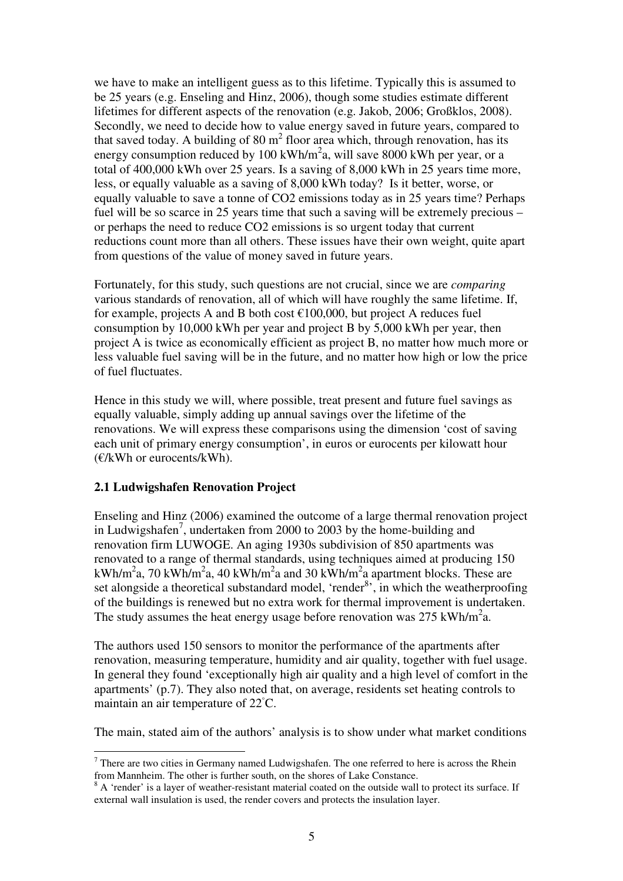we have to make an intelligent guess as to this lifetime. Typically this is assumed to be 25 years (e.g. Enseling and Hinz, 2006), though some studies estimate different lifetimes for different aspects of the renovation (e.g. Jakob, 2006; Großklos, 2008). Secondly, we need to decide how to value energy saved in future years, compared to that saved today. A building of 80  $m^2$  floor area which, through renovation, has its energy consumption reduced by 100 kWh/m<sup>2</sup>a, will save 8000 kWh per year, or a total of 400,000 kWh over 25 years. Is a saving of 8,000 kWh in 25 years time more, less, or equally valuable as a saving of 8,000 kWh today? Is it better, worse, or equally valuable to save a tonne of CO2 emissions today as in 25 years time? Perhaps fuel will be so scarce in 25 years time that such a saving will be extremely precious – or perhaps the need to reduce CO2 emissions is so urgent today that current reductions count more than all others. These issues have their own weight, quite apart from questions of the value of money saved in future years.

Fortunately, for this study, such questions are not crucial, since we are *comparing*  various standards of renovation, all of which will have roughly the same lifetime. If, for example, projects A and B both cost  $\epsilon$ 100,000, but project A reduces fuel consumption by 10,000 kWh per year and project B by 5,000 kWh per year, then project A is twice as economically efficient as project B, no matter how much more or less valuable fuel saving will be in the future, and no matter how high or low the price of fuel fluctuates.

Hence in this study we will, where possible, treat present and future fuel savings as equally valuable, simply adding up annual savings over the lifetime of the renovations. We will express these comparisons using the dimension 'cost of saving each unit of primary energy consumption', in euros or eurocents per kilowatt hour  $(E/KWh)$  or eurocents/kWh).

#### **2.1 Ludwigshafen Renovation Project**

 $\overline{a}$ 

Enseling and Hinz (2006) examined the outcome of a large thermal renovation project in Ludwigshafen<sup>7</sup>, undertaken from 2000 to 2003 by the home-building and renovation firm LUWOGE. An aging 1930s subdivision of 850 apartments was renovated to a range of thermal standards, using techniques aimed at producing 150 kWh/m<sup>2</sup>a, 70 kWh/m<sup>2</sup>a, 40 kWh/m<sup>2</sup>a and 30 kWh/m<sup>2</sup>a apartment blocks. These are set alongside a theoretical substandard model, 'render $s^3$ , in which the weatherproofing of the buildings is renewed but no extra work for thermal improvement is undertaken. The study assumes the heat energy usage before renovation was 275 kWh/m<sup>2</sup>a.

The authors used 150 sensors to monitor the performance of the apartments after renovation, measuring temperature, humidity and air quality, together with fuel usage. In general they found 'exceptionally high air quality and a high level of comfort in the apartments' (p.7). They also noted that, on average, residents set heating controls to maintain an air temperature of 22◦C.

The main, stated aim of the authors' analysis is to show under what market conditions

 $7$  There are two cities in Germany named Ludwigshafen. The one referred to here is across the Rhein from Mannheim. The other is further south, on the shores of Lake Constance.

 $8$  A 'render' is a layer of weather-resistant material coated on the outside wall to protect its surface. If external wall insulation is used, the render covers and protects the insulation layer.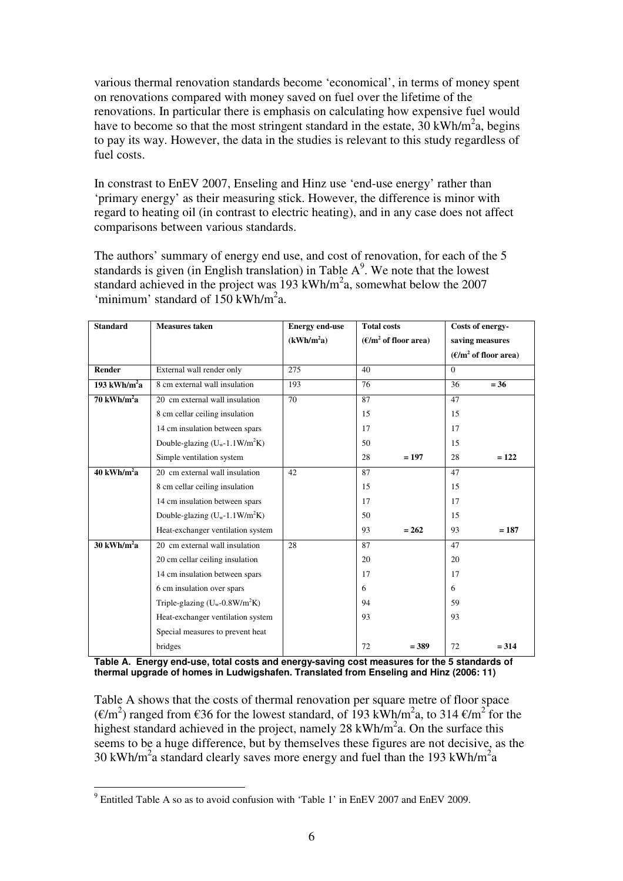various thermal renovation standards become 'economical', in terms of money spent on renovations compared with money saved on fuel over the lifetime of the renovations. In particular there is emphasis on calculating how expensive fuel would have to become so that the most stringent standard in the estate,  $30 \text{ kWh/m}^2$ a, begins to pay its way. However, the data in the studies is relevant to this study regardless of fuel costs.

In constrast to EnEV 2007, Enseling and Hinz use 'end-use energy' rather than 'primary energy' as their measuring stick. However, the difference is minor with regard to heating oil (in contrast to electric heating), and in any case does not affect comparisons between various standards.

The authors' summary of energy end use, and cost of renovation, for each of the 5 standards is given (in English translation) in Table  $A^9$ . We note that the lowest standard achieved in the project was 193 kWh/ $m^2$ a, somewhat below the 2007 'minimum' standard of 150 kWh/m<sup>2</sup>a.

| <b>Standard</b>            | <b>Measures taken</b>              | <b>Energy end-use</b>  | <b>Total costs</b>                | Costs of energy-                           |  |  |
|----------------------------|------------------------------------|------------------------|-----------------------------------|--------------------------------------------|--|--|
|                            |                                    | (kWh/m <sup>2</sup> a) | $(\mathbf{f}/m^2)$ of floor area) | saving measures                            |  |  |
|                            |                                    |                        |                                   | $(\mathbf{f}/\mathbf{m}^2)$ of floor area) |  |  |
| <b>Render</b>              | External wall render only          | 275                    | 40                                | $\Omega$                                   |  |  |
| $193$ kWh/m <sup>2</sup> a | 8 cm external wall insulation      | 193                    | 76                                | $= 36$<br>36                               |  |  |
| $70$ kWh/m <sup>2</sup> a  | 20 cm external wall insulation     | 70                     | 87                                | 47                                         |  |  |
|                            | 8 cm cellar ceiling insulation     |                        | 15                                | 15                                         |  |  |
|                            | 14 cm insulation between spars     |                        | 17                                | 17                                         |  |  |
|                            | Double-glazing $(U_w-1.1 W/m^2 K)$ |                        | 50                                | 15                                         |  |  |
|                            | Simple ventilation system          |                        | 28<br>$= 197$                     | 28<br>$= 122$                              |  |  |
| $40 \text{ kWh/m}^2$ a     | 20 cm external wall insulation     | 42                     | 87                                | 47                                         |  |  |
|                            | 8 cm cellar ceiling insulation     |                        | 15                                | 15                                         |  |  |
|                            | 14 cm insulation between spars     |                        | 17                                | 17                                         |  |  |
|                            | Double-glazing $(U_w-1.1 W/m^2 K)$ |                        | 50                                | 15                                         |  |  |
|                            | Heat-exchanger ventilation system  |                        | 93<br>$= 262$                     | 93<br>$= 187$                              |  |  |
| $30$ kWh/m <sup>2</sup> a  | 20 cm external wall insulation     | 28                     | 87                                | 47                                         |  |  |
|                            | 20 cm cellar ceiling insulation    |                        | 20                                | 20                                         |  |  |
|                            | 14 cm insulation between spars     |                        | 17                                | 17                                         |  |  |
|                            | 6 cm insulation over spars         |                        | 6                                 | 6                                          |  |  |
|                            | Triple-glazing $(U_w-0.8W/m^2K)$   |                        | 94                                | 59                                         |  |  |
|                            | Heat-exchanger ventilation system  |                        | 93                                | 93                                         |  |  |
|                            | Special measures to prevent heat   |                        |                                   |                                            |  |  |
|                            | bridges                            |                        | 72<br>$= 389$                     | 72<br>$= 314$                              |  |  |

**Table A. Energy end-use, total costs and energy-saving cost measures for the 5 standards of thermal upgrade of homes in Ludwigshafen. Translated from Enseling and Hinz (2006: 11)**

Table A shows that the costs of thermal renovation per square metre of floor space (€/m<sup>2</sup>) ranged from €36 for the lowest standard, of 193 kWh/m<sup>2</sup>a, to 314 €/m<sup>2</sup> for the highest standard achieved in the project, namely 28 kWh/ $m<sup>2</sup>$ a. On the surface this seems to be a huge difference, but by themselves these figures are not decisive, as the 30 kWh/m<sup>2</sup>a standard clearly saves more energy and fuel than the 193 kWh/m<sup>2</sup>a

<sup>&</sup>lt;sup>9</sup> Entitled Table A so as to avoid confusion with 'Table 1' in EnEV 2007 and EnEV 2009.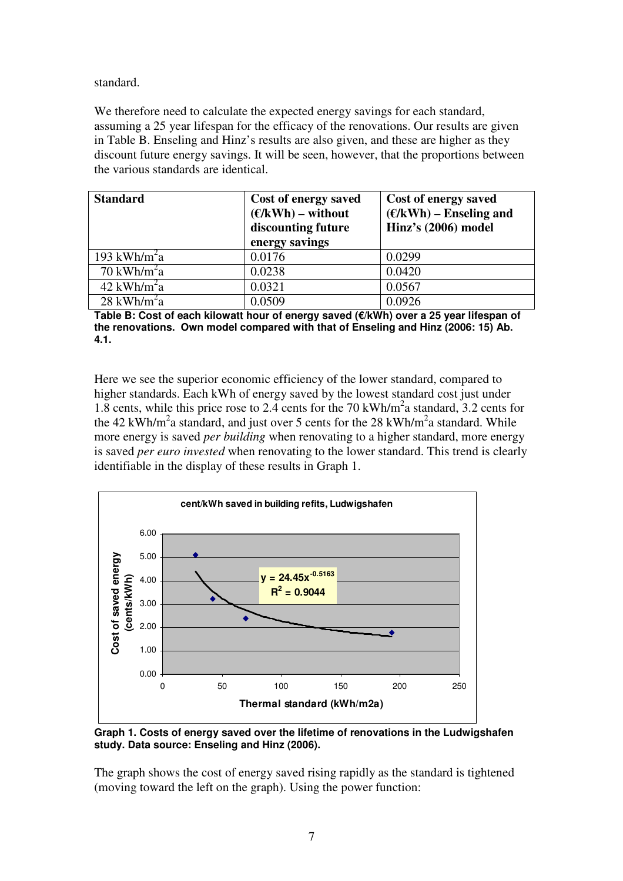standard.

We therefore need to calculate the expected energy savings for each standard, assuming a 25 year lifespan for the efficacy of the renovations. Our results are given in Table B. Enseling and Hinz's results are also given, and these are higher as they discount future energy savings. It will be seen, however, that the proportions between the various standards are identical.

| <b>Standard</b>           | Cost of energy saved<br>$(E/KWh)$ – without<br>discounting future<br>energy savings | Cost of energy saved<br>$(E/KWh)$ – Enseling and<br>Hinz's (2006) model |
|---------------------------|-------------------------------------------------------------------------------------|-------------------------------------------------------------------------|
| 193 kWh/ $m2a$            | 0.0176                                                                              | 0.0299                                                                  |
| $70 \text{ kWh/m}^2$ a    | 0.0238                                                                              | 0.0420                                                                  |
| 42 kWh/m <sup>2</sup> a   | 0.0321                                                                              | 0.0567                                                                  |
| $28$ kWh/m <sup>2</sup> a | 0.0509                                                                              | 0.0926                                                                  |

**Table B: Cost of each kilowatt hour of energy saved (€/kWh) over a 25 year lifespan of the renovations. Own model compared with that of Enseling and Hinz (2006: 15) Ab. 4.1.** 

Here we see the superior economic efficiency of the lower standard, compared to higher standards. Each kWh of energy saved by the lowest standard cost just under 1.8 cents, while this price rose to 2.4 cents for the 70 kWh/m<sup>2</sup>a standard, 3.2 cents for the 42 kWh/m<sup>2</sup>a standard, and just over 5 cents for the 28 kWh/m<sup>2</sup>a standard. While more energy is saved *per building* when renovating to a higher standard, more energy is saved *per euro invested* when renovating to the lower standard. This trend is clearly identifiable in the display of these results in Graph 1.



**Graph 1. Costs of energy saved over the lifetime of renovations in the Ludwigshafen study. Data source: Enseling and Hinz (2006).** 

The graph shows the cost of energy saved rising rapidly as the standard is tightened (moving toward the left on the graph). Using the power function: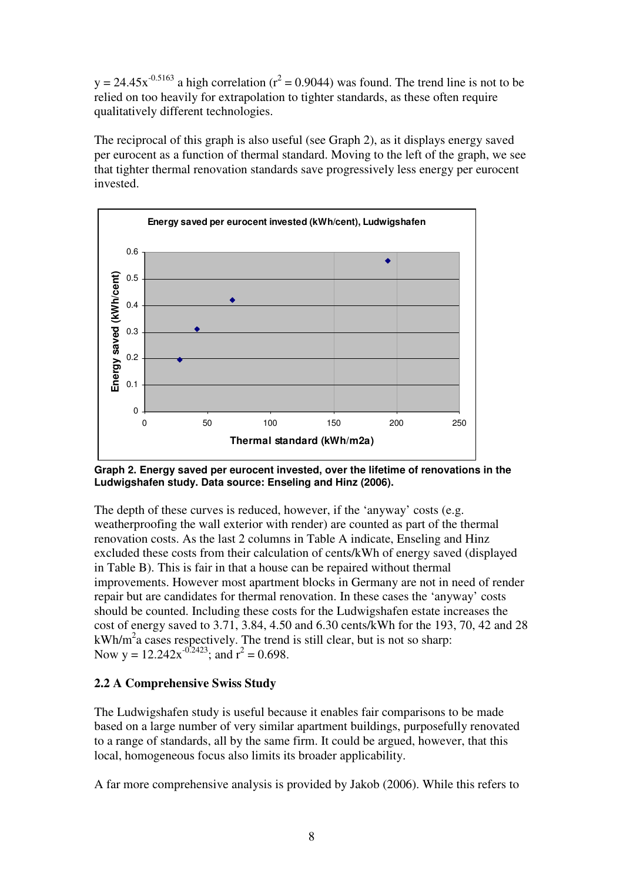$y = 24.45x^{-0.5163}$  a high correlation ( $r^2 = 0.9044$ ) was found. The trend line is not to be relied on too heavily for extrapolation to tighter standards, as these often require qualitatively different technologies.

The reciprocal of this graph is also useful (see Graph 2), as it displays energy saved per eurocent as a function of thermal standard. Moving to the left of the graph, we see that tighter thermal renovation standards save progressively less energy per eurocent invested.



**Graph 2. Energy saved per eurocent invested, over the lifetime of renovations in the Ludwigshafen study. Data source: Enseling and Hinz (2006).**

The depth of these curves is reduced, however, if the 'anyway' costs (e.g. weatherproofing the wall exterior with render) are counted as part of the thermal renovation costs. As the last 2 columns in Table A indicate, Enseling and Hinz excluded these costs from their calculation of cents/kWh of energy saved (displayed in Table B). This is fair in that a house can be repaired without thermal improvements. However most apartment blocks in Germany are not in need of render repair but are candidates for thermal renovation. In these cases the 'anyway' costs should be counted. Including these costs for the Ludwigshafen estate increases the cost of energy saved to 3.71, 3.84, 4.50 and 6.30 cents/kWh for the 193, 70, 42 and 28  $kWh/m<sup>2</sup> a cases respectively.$  The trend is still clear, but is not so sharp: Now  $y = 12.242x^{-0.2423}$ ; and  $r^2 = 0.698$ .

### **2.2 A Comprehensive Swiss Study**

The Ludwigshafen study is useful because it enables fair comparisons to be made based on a large number of very similar apartment buildings, purposefully renovated to a range of standards, all by the same firm. It could be argued, however, that this local, homogeneous focus also limits its broader applicability.

A far more comprehensive analysis is provided by Jakob (2006). While this refers to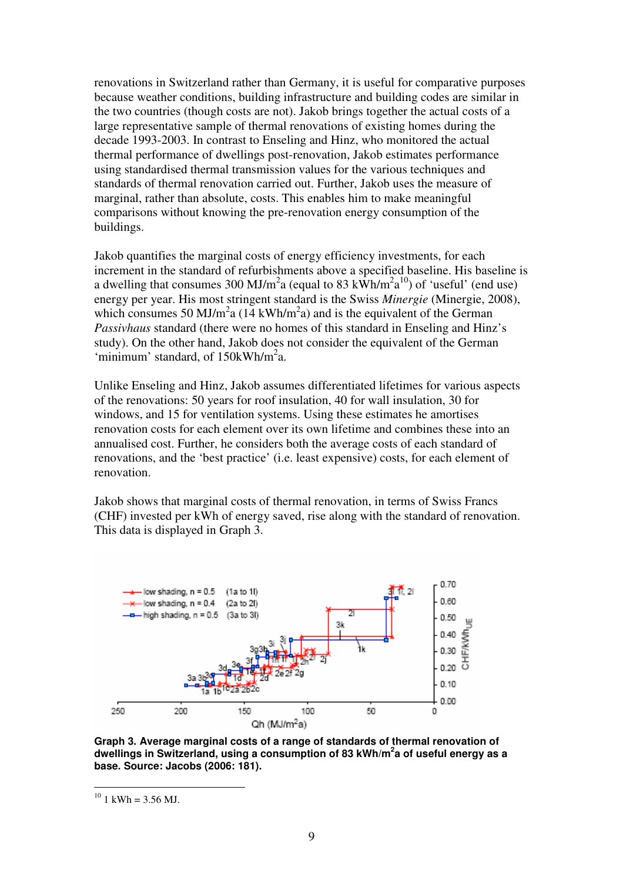renovations in Switzerland rather than Germany, it is useful for comparative purposes because weather conditions, building infrastructure and building codes are similar in the two countries (though costs are not). Jakob brings together the actual costs of a large representative sample of thermal renovations of existing homes during the decade 1993-2003. In contrast to Enseling and Hinz, who monitored the actual thermal performance of dwellings post-renovation, Jakob estimates performance using standardised thermal transmission values for the various techniques and standards of thermal renovation carried out. Further, Jakob uses the measure of marginal, rather than absolute, costs. This enables him to make meaningful comparisons without knowing the pre-renovation energy consumption of the buildings.

Jakob quantifies the marginal costs of energy efficiency investments, for each increment in the standard of refurbishments above a specified baseline. His baseline is a dwelling that consumes 300 MJ/m<sup>2</sup>a (equal to 83 kWh/m<sup>2</sup>a<sup>10</sup>) of 'useful' (end use) energy per year. His most stringent standard is the Swiss *Minergie* (Minergie, 2008), which consumes 50 MJ/m<sup>2</sup>a (14 kWh/m<sup>2</sup>a) and is the equivalent of the German *Passivhaus* standard (there were no homes of this standard in Enseling and Hinz's study). On the other hand, Jakob does not consider the equivalent of the German 'minimum' standard, of 150kWh/m<sup>2</sup>a.

Unlike Enseling and Hinz, Jakob assumes differentiated lifetimes for various aspects of the renovations: 50 years for roof insulation, 40 for wall insulation, 30 for windows, and 15 for ventilation systems. Using these estimates he amortises renovation costs for each element over its own lifetime and combines these into an annualised cost. Further, he considers both the average costs of each standard of renovations, and the 'best practice' (i.e. least expensive) costs, for each element of renovation.

Jakob shows that marginal costs of thermal renovation, in terms of Swiss Francs (CHF) invested per kWh of energy saved, rise along with the standard of renovation. This data is displayed in Graph 3.



**Graph 3. Average marginal costs of a range of standards of thermal renovation of dwellings in Switzerland, using a consumption of 83 kWh/m<sup>2</sup> a of useful energy as a base. Source: Jacobs (2006: 181).**

 $\overline{a}$ 

 $^{10}$  1 kWh = 3.56 MJ.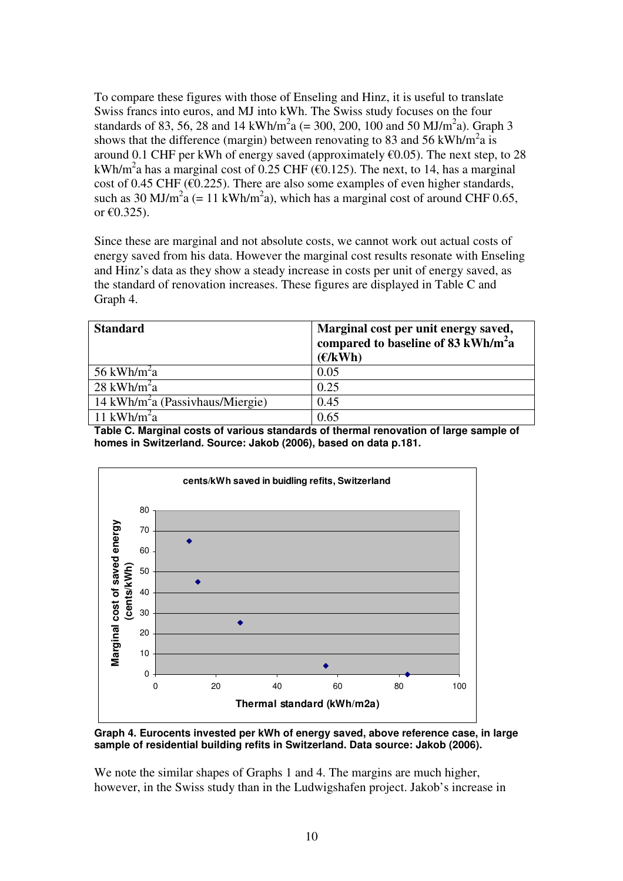To compare these figures with those of Enseling and Hinz, it is useful to translate Swiss francs into euros, and MJ into kWh. The Swiss study focuses on the four standards of 83, 56, 28 and 14 kWh/m<sup>2</sup>a (= 300, 200, 100 and 50 MJ/m<sup>2</sup>a). Graph 3 shows that the difference (margin) between renovating to 83 and 56 kWh/m<sup>2</sup>a is around 0.1 CHF per kWh of energy saved (approximately  $\epsilon$ 0.05). The next step, to 28 kWh/m<sup>2</sup> a has a marginal cost of 0.25 CHF ( $\epsilon$ 0.125). The next, to 14, has a marginal cost of 0.45 CHF ( $\epsilon$ 0.225). There are also some examples of even higher standards, such as 30 MJ/m<sup>2</sup>a (= 11 kWh/m<sup>2</sup>a), which has a marginal cost of around CHF 0.65, or €0.325).

Since these are marginal and not absolute costs, we cannot work out actual costs of energy saved from his data. However the marginal cost results resonate with Enseling and Hinz's data as they show a steady increase in costs per unit of energy saved, as the standard of renovation increases. These figures are displayed in Table C and Graph 4.

| <b>Standard</b>                                    | Marginal cost per unit energy saved,<br>compared to baseline of 83 kWh/m <sup>2</sup> a<br>(E/kWh) |
|----------------------------------------------------|----------------------------------------------------------------------------------------------------|
| 56 kWh/m <sup>2</sup> a                            | 0.05                                                                                               |
| $28 \text{ kWh/m}^2$ a                             | 0.25                                                                                               |
| $\sqrt{14 \text{ kWh/m}^2}$ a (Passivhaus/Miergie) | 0.45                                                                                               |
| 11 kWh/m <sup>2</sup> a                            | 0.65                                                                                               |

**Table C. Marginal costs of various standards of thermal renovation of large sample of homes in Switzerland. Source: Jakob (2006), based on data p.181.** 



**Graph 4. Eurocents invested per kWh of energy saved, above reference case, in large sample of residential building refits in Switzerland. Data source: Jakob (2006).** 

We note the similar shapes of Graphs 1 and 4. The margins are much higher, however, in the Swiss study than in the Ludwigshafen project. Jakob's increase in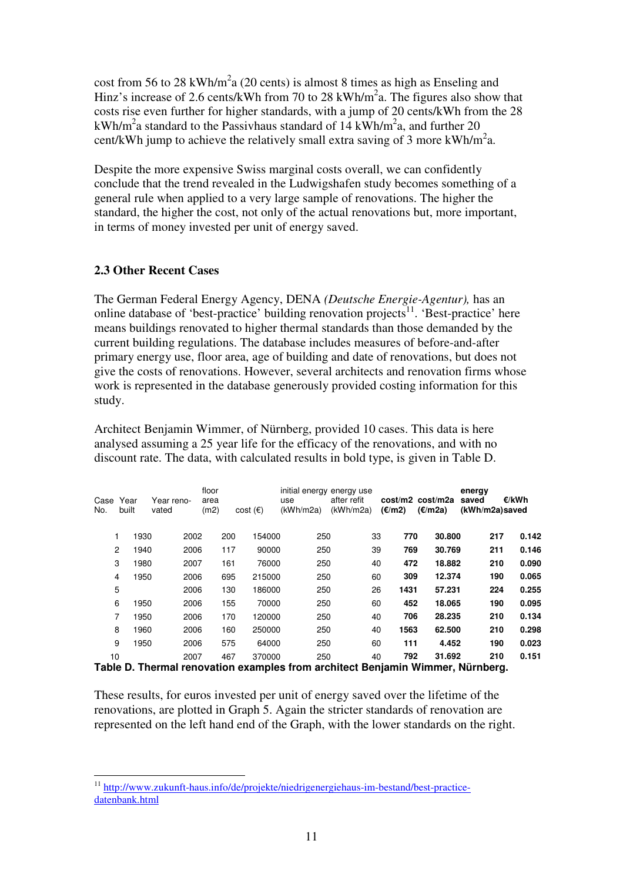cost from 56 to 28 kWh/m<sup>2</sup>a (20 cents) is almost 8 times as high as Enseling and Hinz's increase of 2.6 cents/kWh from 70 to 28 kWh/m<sup>2</sup>a. The figures also show that costs rise even further for higher standards, with a jump of 20 cents/kWh from the 28 kWh/m<sup>2</sup>a standard to the Passivhaus standard of 14 kWh/m<sup>2</sup>a, and further 20 cent/kWh jump to achieve the relatively small extra saving of 3 more kWh/m<sup>2</sup>a.

Despite the more expensive Swiss marginal costs overall, we can confidently conclude that the trend revealed in the Ludwigshafen study becomes something of a general rule when applied to a very large sample of renovations. The higher the standard, the higher the cost, not only of the actual renovations but, more important, in terms of money invested per unit of energy saved.

### **2.3 Other Recent Cases**

 $\overline{a}$ 

The German Federal Energy Agency, DENA *(Deutsche Energie-Agentur),* has an online database of 'best-practice' building renovation projects<sup>11</sup>. 'Best-practice' here means buildings renovated to higher thermal standards than those demanded by the current building regulations. The database includes measures of before-and-after primary energy use, floor area, age of building and date of renovations, but does not give the costs of renovations. However, several architects and renovation firms whose work is represented in the database generously provided costing information for this study.

Architect Benjamin Wimmer, of Nürnberg, provided 10 cases. This data is here analysed assuming a 25 year life for the efficacy of the renovations, and with no discount rate. The data, with calculated results in bold type, is given in Table D.

| Case<br>No. | Year<br>built |      | Year reno-<br>vated | floor<br>area<br>(m2) | $cost(\epsilon)$ | initial energy energy use<br>use<br>(kWh/m2a)                                  | after refit<br>(kWh/m2a) | (€/m2) | cost/m2 cost/m2a<br>(E/m2a) | energy<br>saved<br>(kWh/m2a)saved | €/kWh |
|-------------|---------------|------|---------------------|-----------------------|------------------|--------------------------------------------------------------------------------|--------------------------|--------|-----------------------------|-----------------------------------|-------|
|             | 1             | 1930 | 2002                | 200                   | 154000           | 250                                                                            | 33                       | 770    | 30.800                      | 217                               | 0.142 |
|             | 2             | 1940 | 2006                | 117                   | 90000            | 250                                                                            | 39                       | 769    | 30.769                      | 211                               | 0.146 |
|             | 3             | 1980 | 2007                | 161                   | 76000            | 250                                                                            | 40                       | 472    | 18.882                      | 210                               | 0.090 |
|             | 4             | 1950 | 2006                | 695                   | 215000           | 250                                                                            | 60                       | 309    | 12.374                      | 190                               | 0.065 |
|             | 5             |      | 2006                | 130                   | 186000           | 250                                                                            | 26                       | 1431   | 57.231                      | 224                               | 0.255 |
|             | 6             | 1950 | 2006                | 155                   | 70000            | 250                                                                            | 60                       | 452    | 18.065                      | 190                               | 0.095 |
|             | 7             | 1950 | 2006                | 170                   | 120000           | 250                                                                            | 40                       | 706    | 28.235                      | 210                               | 0.134 |
|             | 8             | 1960 | 2006                | 160                   | 250000           | 250                                                                            | 40                       | 1563   | 62.500                      | 210                               | 0.298 |
|             | 9             | 1950 | 2006                | 575                   | 64000            | 250                                                                            | 60                       | 111    | 4.452                       | 190                               | 0.023 |
| 10          |               |      | 2007                | 467                   | 370000           | 250                                                                            | 40                       | 792    | 31.692                      | 210                               | 0.151 |
|             |               |      |                     |                       |                  | Table D. Thermal renovation examples from architect Benjamin Wimmer, Nürnberg. |                          |        |                             |                                   |       |

These results, for euros invested per unit of energy saved over the lifetime of the renovations, are plotted in Graph 5. Again the stricter standards of renovation are represented on the left hand end of the Graph, with the lower standards on the right.

<sup>&</sup>lt;sup>11</sup> http://www.zukunft-haus.info/de/projekte/niedrigenergiehaus-im-bestand/best-practicedatenbank.html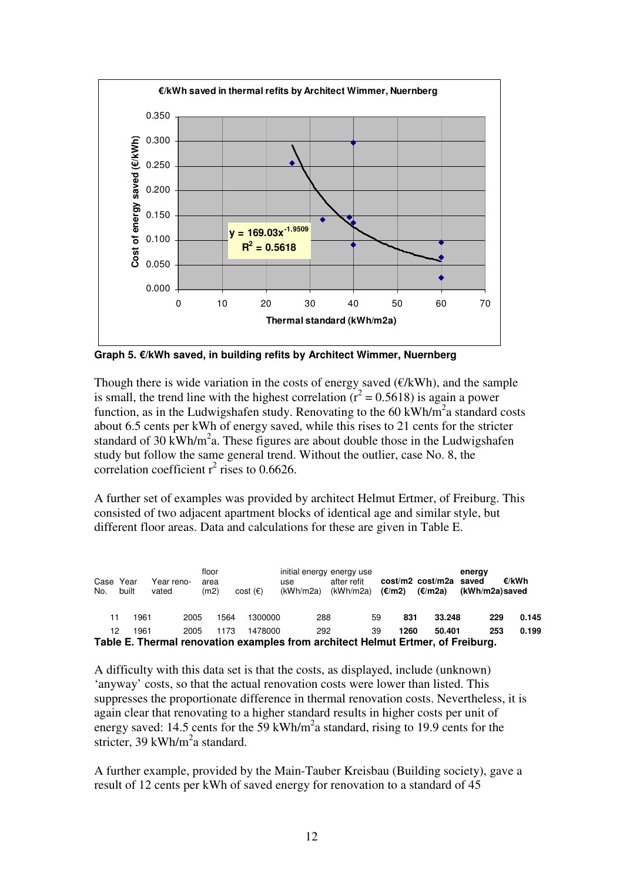

**Graph 5. €/kWh saved, in building refits by Architect Wimmer, Nuernberg** 

Though there is wide variation in the costs of energy saved  $(\epsilon/kWh)$ , and the sample is small, the trend line with the highest correlation  $(r^2 = 0.5618)$  is again a power function, as in the Ludwigshafen study. Renovating to the  $60 \text{ kWh/m}^2$  standard costs about 6.5 cents per kWh of energy saved, while this rises to 21 cents for the stricter standard of 30 kWh/m<sup>2</sup>a. These figures are about double those in the Ludwigshafen study but follow the same general trend. Without the outlier, case No. 8, the correlation coefficient  $r^2$  rises to 0.6626.

A further set of examples was provided by architect Helmut Ertmer, of Freiburg. This consisted of two adjacent apartment blocks of identical age and similar style, but different floor areas. Data and calculations for these are given in Table E.

| Case Year<br>No. | built | Year reno-<br>vated | floor<br>area<br>(m2) | $cost(\epsilon)$ | initial energy energy use<br><b>use</b><br>(kWh/m2a)                            | after refit<br>(kWh/m2a) | $(\epsilon/m2)$ $(\epsilon/m2a)$ | cost/m2 cost/m2a saved | enerav<br>(kWh/m2a)saved | €/kWh |
|------------------|-------|---------------------|-----------------------|------------------|---------------------------------------------------------------------------------|--------------------------|----------------------------------|------------------------|--------------------------|-------|
| 11               | 1961  | 2005                | 1564                  | 1300000          | 288                                                                             | 59                       | 831                              | 33.248                 | 229                      | 0.145 |
| 12               | 1961  | 2005                | 1173                  | 1478000          | 292                                                                             | 39                       | 1260                             | 50.401                 | 253                      | 0.199 |
|                  |       |                     |                       |                  | Table E. Thermal renovation examples from architect Helmut Ertmer, of Freiburg. |                          |                                  |                        |                          |       |

A difficulty with this data set is that the costs, as displayed, include (unknown) 'anyway' costs, so that the actual renovation costs were lower than listed. This suppresses the proportionate difference in thermal renovation costs. Nevertheless, it is again clear that renovating to a higher standard results in higher costs per unit of energy saved: 14.5 cents for the 59 kWh/ $m<sup>2</sup>$ a standard, rising to 19.9 cents for the stricter, 39 kWh/m<sup>2</sup>a standard.

A further example, provided by the Main-Tauber Kreisbau (Building society), gave a result of 12 cents per kWh of saved energy for renovation to a standard of 45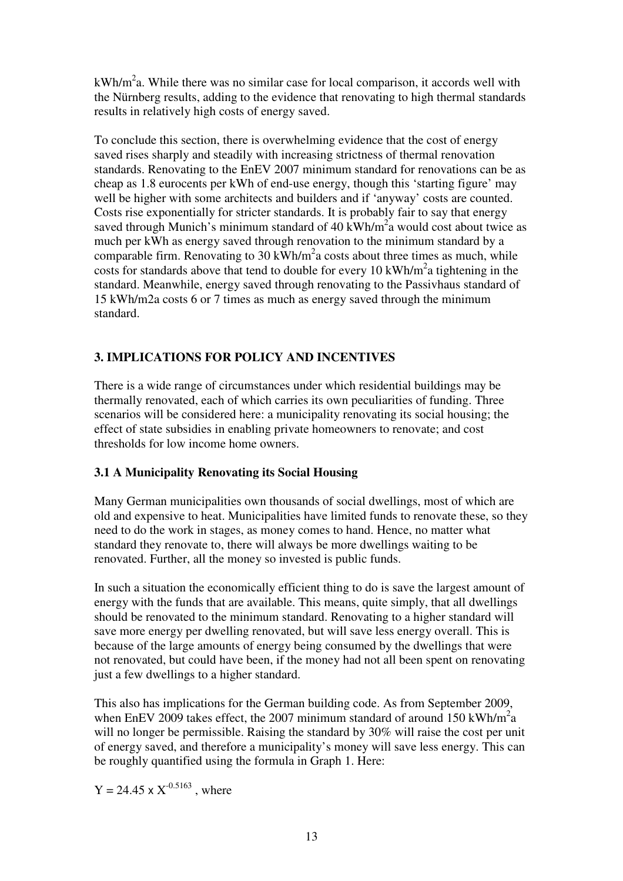$kWh/m<sup>2</sup>a$ . While there was no similar case for local comparison, it accords well with the Nürnberg results, adding to the evidence that renovating to high thermal standards results in relatively high costs of energy saved.

To conclude this section, there is overwhelming evidence that the cost of energy saved rises sharply and steadily with increasing strictness of thermal renovation standards. Renovating to the EnEV 2007 minimum standard for renovations can be as cheap as 1.8 eurocents per kWh of end-use energy, though this 'starting figure' may well be higher with some architects and builders and if 'anyway' costs are counted. Costs rise exponentially for stricter standards. It is probably fair to say that energy saved through Munich's minimum standard of  $40 \text{ kWh/m}^2$  would cost about twice as much per kWh as energy saved through renovation to the minimum standard by a comparable firm. Renovating to 30 kWh/m<sup>2</sup>a costs about three times as much, while costs for standards above that tend to double for every  $10 \text{ kWh/m}^2$  atightening in the standard. Meanwhile, energy saved through renovating to the Passivhaus standard of 15 kWh/m2a costs 6 or 7 times as much as energy saved through the minimum standard.

# **3. IMPLICATIONS FOR POLICY AND INCENTIVES**

There is a wide range of circumstances under which residential buildings may be thermally renovated, each of which carries its own peculiarities of funding. Three scenarios will be considered here: a municipality renovating its social housing; the effect of state subsidies in enabling private homeowners to renovate; and cost thresholds for low income home owners.

# **3.1 A Municipality Renovating its Social Housing**

Many German municipalities own thousands of social dwellings, most of which are old and expensive to heat. Municipalities have limited funds to renovate these, so they need to do the work in stages, as money comes to hand. Hence, no matter what standard they renovate to, there will always be more dwellings waiting to be renovated. Further, all the money so invested is public funds.

In such a situation the economically efficient thing to do is save the largest amount of energy with the funds that are available. This means, quite simply, that all dwellings should be renovated to the minimum standard. Renovating to a higher standard will save more energy per dwelling renovated, but will save less energy overall. This is because of the large amounts of energy being consumed by the dwellings that were not renovated, but could have been, if the money had not all been spent on renovating just a few dwellings to a higher standard.

This also has implications for the German building code. As from September 2009, when EnEV 2009 takes effect, the 2007 minimum standard of around 150 kWh/m<sup>2</sup>a will no longer be permissible. Raising the standard by 30% will raise the cost per unit of energy saved, and therefore a municipality's money will save less energy. This can be roughly quantified using the formula in Graph 1. Here:

 $Y = 24.45 \times X^{-0.5163}$ , where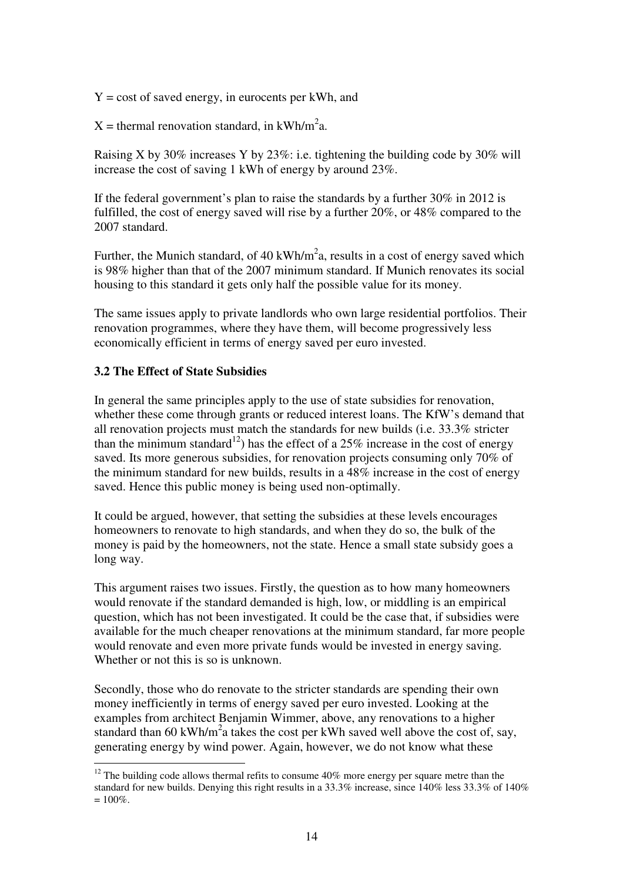$Y = \text{cost of saved energy}$ , in eurocents per kWh, and

 $X =$  thermal renovation standard, in kWh/m<sup>2</sup>a.

Raising X by 30% increases Y by 23%: i.e. tightening the building code by 30% will increase the cost of saving 1 kWh of energy by around 23%.

If the federal government's plan to raise the standards by a further 30% in 2012 is fulfilled, the cost of energy saved will rise by a further 20%, or 48% compared to the 2007 standard.

Further, the Munich standard, of 40 kWh/m<sup>2</sup>a, results in a cost of energy saved which is 98% higher than that of the 2007 minimum standard. If Munich renovates its social housing to this standard it gets only half the possible value for its money.

The same issues apply to private landlords who own large residential portfolios. Their renovation programmes, where they have them, will become progressively less economically efficient in terms of energy saved per euro invested.

### **3.2 The Effect of State Subsidies**

 $\overline{a}$ 

In general the same principles apply to the use of state subsidies for renovation, whether these come through grants or reduced interest loans. The KfW's demand that all renovation projects must match the standards for new builds (i.e. 33.3% stricter than the minimum standard<sup>12</sup>) has the effect of a 25% increase in the cost of energy saved. Its more generous subsidies, for renovation projects consuming only 70% of the minimum standard for new builds, results in a 48% increase in the cost of energy saved. Hence this public money is being used non-optimally.

It could be argued, however, that setting the subsidies at these levels encourages homeowners to renovate to high standards, and when they do so, the bulk of the money is paid by the homeowners, not the state. Hence a small state subsidy goes a long way.

This argument raises two issues. Firstly, the question as to how many homeowners would renovate if the standard demanded is high, low, or middling is an empirical question, which has not been investigated. It could be the case that, if subsidies were available for the much cheaper renovations at the minimum standard, far more people would renovate and even more private funds would be invested in energy saving. Whether or not this is so is unknown.

Secondly, those who do renovate to the stricter standards are spending their own money inefficiently in terms of energy saved per euro invested. Looking at the examples from architect Benjamin Wimmer, above, any renovations to a higher standard than 60 kWh/m<sup>2</sup>a takes the cost per kWh saved well above the cost of, say, generating energy by wind power. Again, however, we do not know what these

<sup>&</sup>lt;sup>12</sup> The building code allows thermal refits to consume  $40\%$  more energy per square metre than the standard for new builds. Denying this right results in a 33.3% increase, since 140% less 33.3% of 140%  $= 100\%$ .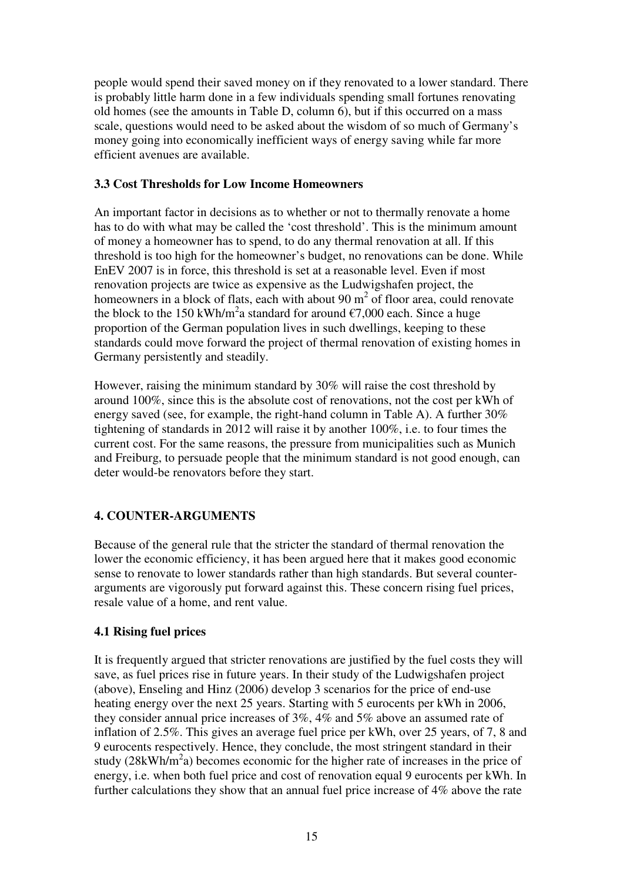people would spend their saved money on if they renovated to a lower standard. There is probably little harm done in a few individuals spending small fortunes renovating old homes (see the amounts in Table D, column 6), but if this occurred on a mass scale, questions would need to be asked about the wisdom of so much of Germany's money going into economically inefficient ways of energy saving while far more efficient avenues are available.

# **3.3 Cost Thresholds for Low Income Homeowners**

An important factor in decisions as to whether or not to thermally renovate a home has to do with what may be called the 'cost threshold'. This is the minimum amount of money a homeowner has to spend, to do any thermal renovation at all. If this threshold is too high for the homeowner's budget, no renovations can be done. While EnEV 2007 is in force, this threshold is set at a reasonable level. Even if most renovation projects are twice as expensive as the Ludwigshafen project, the homeowners in a block of flats, each with about 90  $m^2$  of floor area, could renovate the block to the 150 kWh/m<sup>2</sup>a standard for around  $\epsilon$ 7,000 each. Since a huge proportion of the German population lives in such dwellings, keeping to these standards could move forward the project of thermal renovation of existing homes in Germany persistently and steadily.

However, raising the minimum standard by 30% will raise the cost threshold by around 100%, since this is the absolute cost of renovations, not the cost per kWh of energy saved (see, for example, the right-hand column in Table A). A further 30% tightening of standards in 2012 will raise it by another 100%, i.e. to four times the current cost. For the same reasons, the pressure from municipalities such as Munich and Freiburg, to persuade people that the minimum standard is not good enough, can deter would-be renovators before they start.

# **4. COUNTER-ARGUMENTS**

Because of the general rule that the stricter the standard of thermal renovation the lower the economic efficiency, it has been argued here that it makes good economic sense to renovate to lower standards rather than high standards. But several counterarguments are vigorously put forward against this. These concern rising fuel prices, resale value of a home, and rent value.

# **4.1 Rising fuel prices**

It is frequently argued that stricter renovations are justified by the fuel costs they will save, as fuel prices rise in future years. In their study of the Ludwigshafen project (above), Enseling and Hinz (2006) develop 3 scenarios for the price of end-use heating energy over the next 25 years. Starting with 5 eurocents per kWh in 2006, they consider annual price increases of 3%, 4% and 5% above an assumed rate of inflation of 2.5%. This gives an average fuel price per kWh, over 25 years, of 7, 8 and 9 eurocents respectively. Hence, they conclude, the most stringent standard in their study (28kWh/ $m^2$ a) becomes economic for the higher rate of increases in the price of energy, i.e. when both fuel price and cost of renovation equal 9 eurocents per kWh. In further calculations they show that an annual fuel price increase of 4% above the rate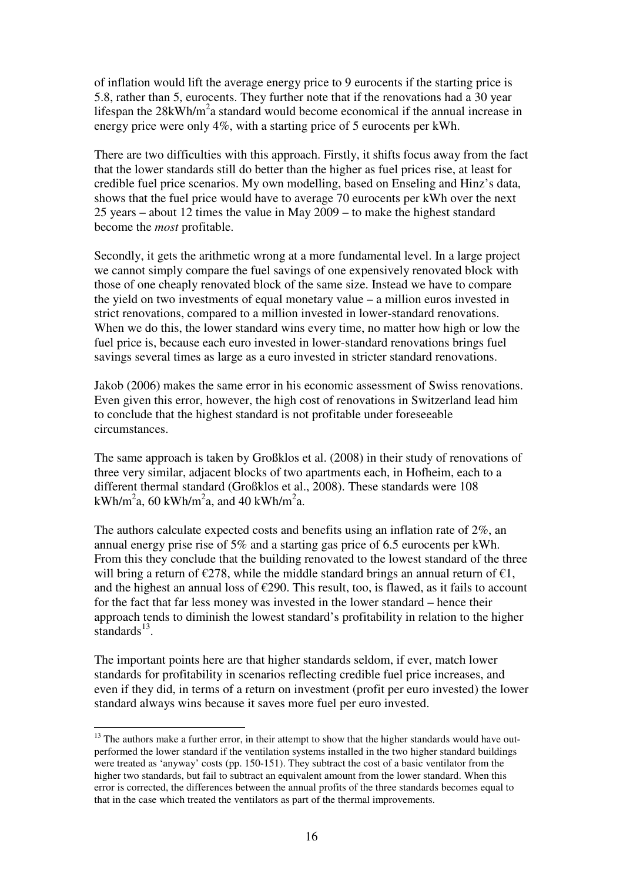of inflation would lift the average energy price to 9 eurocents if the starting price is 5.8, rather than 5, eurocents. They further note that if the renovations had a 30 year lifespan the  $28kWh/m^2$ a standard would become economical if the annual increase in energy price were only 4%, with a starting price of 5 eurocents per kWh.

There are two difficulties with this approach. Firstly, it shifts focus away from the fact that the lower standards still do better than the higher as fuel prices rise, at least for credible fuel price scenarios. My own modelling, based on Enseling and Hinz's data, shows that the fuel price would have to average 70 eurocents per kWh over the next 25 years – about 12 times the value in May 2009 – to make the highest standard become the *most* profitable.

Secondly, it gets the arithmetic wrong at a more fundamental level. In a large project we cannot simply compare the fuel savings of one expensively renovated block with those of one cheaply renovated block of the same size. Instead we have to compare the yield on two investments of equal monetary value – a million euros invested in strict renovations, compared to a million invested in lower-standard renovations. When we do this, the lower standard wins every time, no matter how high or low the fuel price is, because each euro invested in lower-standard renovations brings fuel savings several times as large as a euro invested in stricter standard renovations.

Jakob (2006) makes the same error in his economic assessment of Swiss renovations. Even given this error, however, the high cost of renovations in Switzerland lead him to conclude that the highest standard is not profitable under foreseeable circumstances.

The same approach is taken by Großklos et al. (2008) in their study of renovations of three very similar, adjacent blocks of two apartments each, in Hofheim, each to a different thermal standard (Großklos et al., 2008). These standards were 108 kWh/m<sup>2</sup>a, 60 kWh/m<sup>2</sup>a, and 40 kWh/m<sup>2</sup>a.

The authors calculate expected costs and benefits using an inflation rate of 2%, an annual energy prise rise of 5% and a starting gas price of 6.5 eurocents per kWh. From this they conclude that the building renovated to the lowest standard of the three will bring a return of  $\epsilon$ 278, while the middle standard brings an annual return of  $\epsilon$ 1, and the highest an annual loss of  $\epsilon$ 290. This result, too, is flawed, as it fails to account for the fact that far less money was invested in the lower standard – hence their approach tends to diminish the lowest standard's profitability in relation to the higher standards $^{13}$ .

The important points here are that higher standards seldom, if ever, match lower standards for profitability in scenarios reflecting credible fuel price increases, and even if they did, in terms of a return on investment (profit per euro invested) the lower standard always wins because it saves more fuel per euro invested.

 $\overline{a}$ 

<sup>&</sup>lt;sup>13</sup> The authors make a further error, in their attempt to show that the higher standards would have outperformed the lower standard if the ventilation systems installed in the two higher standard buildings were treated as 'anyway' costs (pp. 150-151). They subtract the cost of a basic ventilator from the higher two standards, but fail to subtract an equivalent amount from the lower standard. When this error is corrected, the differences between the annual profits of the three standards becomes equal to that in the case which treated the ventilators as part of the thermal improvements.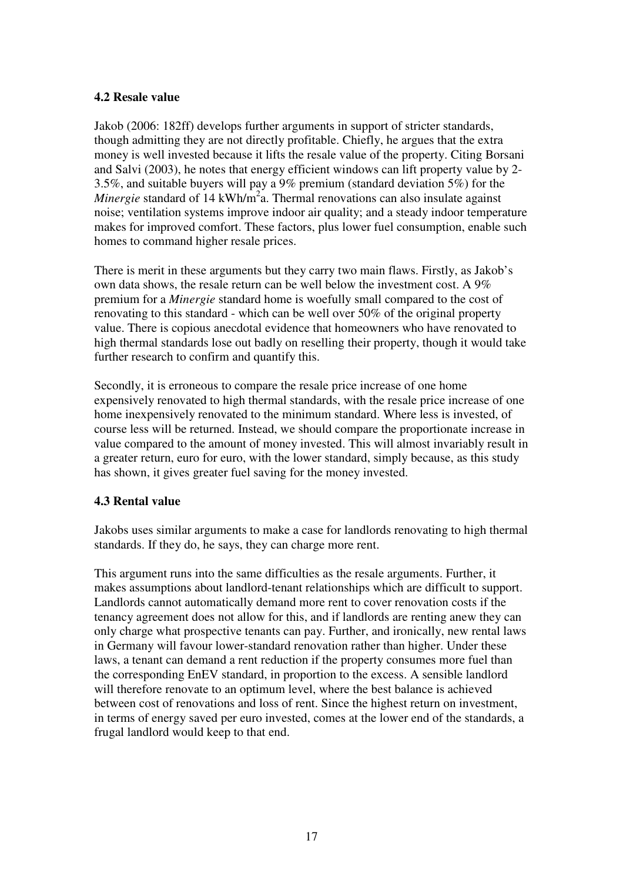### **4.2 Resale value**

Jakob (2006: 182ff) develops further arguments in support of stricter standards, though admitting they are not directly profitable. Chiefly, he argues that the extra money is well invested because it lifts the resale value of the property. Citing Borsani and Salvi (2003), he notes that energy efficient windows can lift property value by 2- 3.5%, and suitable buyers will pay a 9% premium (standard deviation 5%) for the *Minergie* standard of 14 kWh/m<sup>2</sup>a. Thermal renovations can also insulate against noise; ventilation systems improve indoor air quality; and a steady indoor temperature makes for improved comfort. These factors, plus lower fuel consumption, enable such homes to command higher resale prices.

There is merit in these arguments but they carry two main flaws. Firstly, as Jakob's own data shows, the resale return can be well below the investment cost. A 9% premium for a *Minergie* standard home is woefully small compared to the cost of renovating to this standard - which can be well over 50% of the original property value. There is copious anecdotal evidence that homeowners who have renovated to high thermal standards lose out badly on reselling their property, though it would take further research to confirm and quantify this.

Secondly, it is erroneous to compare the resale price increase of one home expensively renovated to high thermal standards, with the resale price increase of one home inexpensively renovated to the minimum standard. Where less is invested, of course less will be returned. Instead, we should compare the proportionate increase in value compared to the amount of money invested. This will almost invariably result in a greater return, euro for euro, with the lower standard, simply because, as this study has shown, it gives greater fuel saving for the money invested.

# **4.3 Rental value**

Jakobs uses similar arguments to make a case for landlords renovating to high thermal standards. If they do, he says, they can charge more rent.

This argument runs into the same difficulties as the resale arguments. Further, it makes assumptions about landlord-tenant relationships which are difficult to support. Landlords cannot automatically demand more rent to cover renovation costs if the tenancy agreement does not allow for this, and if landlords are renting anew they can only charge what prospective tenants can pay. Further, and ironically, new rental laws in Germany will favour lower-standard renovation rather than higher. Under these laws, a tenant can demand a rent reduction if the property consumes more fuel than the corresponding EnEV standard, in proportion to the excess. A sensible landlord will therefore renovate to an optimum level, where the best balance is achieved between cost of renovations and loss of rent. Since the highest return on investment, in terms of energy saved per euro invested, comes at the lower end of the standards, a frugal landlord would keep to that end.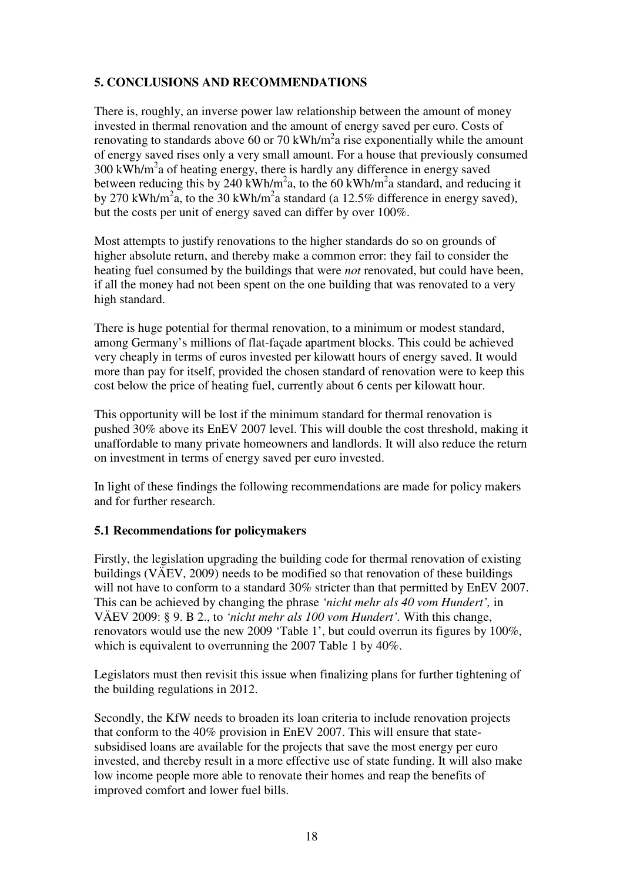# **5. CONCLUSIONS AND RECOMMENDATIONS**

There is, roughly, an inverse power law relationship between the amount of money invested in thermal renovation and the amount of energy saved per euro. Costs of renovating to standards above 60 or 70 kWh/ $m<sup>2</sup>$  a rise exponentially while the amount of energy saved rises only a very small amount. For a house that previously consumed  $300 \text{ kWh/m}^2$ a of heating energy, there is hardly any difference in energy saved between reducing this by 240 kWh/m<sup>2</sup>a, to the 60 kWh/m<sup>2</sup>a standard, and reducing it by 270 kWh/m<sup>2</sup>a, to the 30 kWh/m<sup>2</sup>a standard (a 12.5% difference in energy saved), but the costs per unit of energy saved can differ by over 100%.

Most attempts to justify renovations to the higher standards do so on grounds of higher absolute return, and thereby make a common error: they fail to consider the heating fuel consumed by the buildings that were *not* renovated, but could have been, if all the money had not been spent on the one building that was renovated to a very high standard.

There is huge potential for thermal renovation, to a minimum or modest standard, among Germany's millions of flat-façade apartment blocks. This could be achieved very cheaply in terms of euros invested per kilowatt hours of energy saved. It would more than pay for itself, provided the chosen standard of renovation were to keep this cost below the price of heating fuel, currently about 6 cents per kilowatt hour.

This opportunity will be lost if the minimum standard for thermal renovation is pushed 30% above its EnEV 2007 level. This will double the cost threshold, making it unaffordable to many private homeowners and landlords. It will also reduce the return on investment in terms of energy saved per euro invested.

In light of these findings the following recommendations are made for policy makers and for further research.

# **5.1 Recommendations for policymakers**

Firstly, the legislation upgrading the building code for thermal renovation of existing buildings (VÄEV, 2009) needs to be modified so that renovation of these buildings will not have to conform to a standard  $30\%$  stricter than that permitted by EnEV 2007. This can be achieved by changing the phrase *'nicht mehr als 40 vom Hundert',* in VÄEV 2009: § 9. B 2., to *'nicht mehr als 100 vom Hundert'.* With this change, renovators would use the new 2009 'Table 1', but could overrun its figures by 100%, which is equivalent to overrunning the 2007 Table 1 by 40%.

Legislators must then revisit this issue when finalizing plans for further tightening of the building regulations in 2012.

Secondly, the KfW needs to broaden its loan criteria to include renovation projects that conform to the 40% provision in EnEV 2007. This will ensure that statesubsidised loans are available for the projects that save the most energy per euro invested, and thereby result in a more effective use of state funding. It will also make low income people more able to renovate their homes and reap the benefits of improved comfort and lower fuel bills.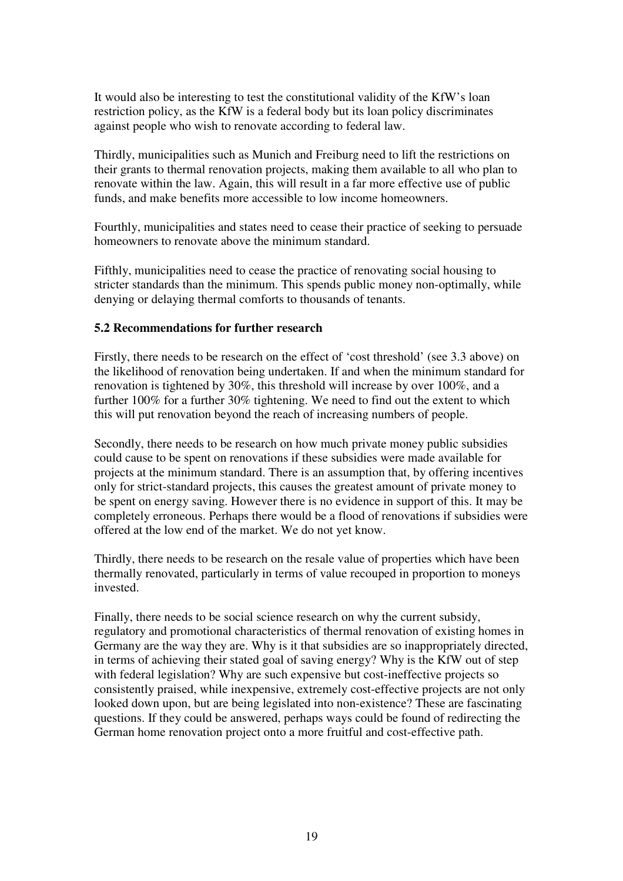It would also be interesting to test the constitutional validity of the KfW's loan restriction policy, as the KfW is a federal body but its loan policy discriminates against people who wish to renovate according to federal law.

Thirdly, municipalities such as Munich and Freiburg need to lift the restrictions on their grants to thermal renovation projects, making them available to all who plan to renovate within the law. Again, this will result in a far more effective use of public funds, and make benefits more accessible to low income homeowners.

Fourthly, municipalities and states need to cease their practice of seeking to persuade homeowners to renovate above the minimum standard.

Fifthly, municipalities need to cease the practice of renovating social housing to stricter standards than the minimum. This spends public money non-optimally, while denying or delaying thermal comforts to thousands of tenants.

### **5.2 Recommendations for further research**

Firstly, there needs to be research on the effect of 'cost threshold' (see 3.3 above) on the likelihood of renovation being undertaken. If and when the minimum standard for renovation is tightened by 30%, this threshold will increase by over 100%, and a further 100% for a further 30% tightening. We need to find out the extent to which this will put renovation beyond the reach of increasing numbers of people.

Secondly, there needs to be research on how much private money public subsidies could cause to be spent on renovations if these subsidies were made available for projects at the minimum standard. There is an assumption that, by offering incentives only for strict-standard projects, this causes the greatest amount of private money to be spent on energy saving. However there is no evidence in support of this. It may be completely erroneous. Perhaps there would be a flood of renovations if subsidies were offered at the low end of the market. We do not yet know.

Thirdly, there needs to be research on the resale value of properties which have been thermally renovated, particularly in terms of value recouped in proportion to moneys invested.

Finally, there needs to be social science research on why the current subsidy, regulatory and promotional characteristics of thermal renovation of existing homes in Germany are the way they are. Why is it that subsidies are so inappropriately directed, in terms of achieving their stated goal of saving energy? Why is the KfW out of step with federal legislation? Why are such expensive but cost-ineffective projects so consistently praised, while inexpensive, extremely cost-effective projects are not only looked down upon, but are being legislated into non-existence? These are fascinating questions. If they could be answered, perhaps ways could be found of redirecting the German home renovation project onto a more fruitful and cost-effective path.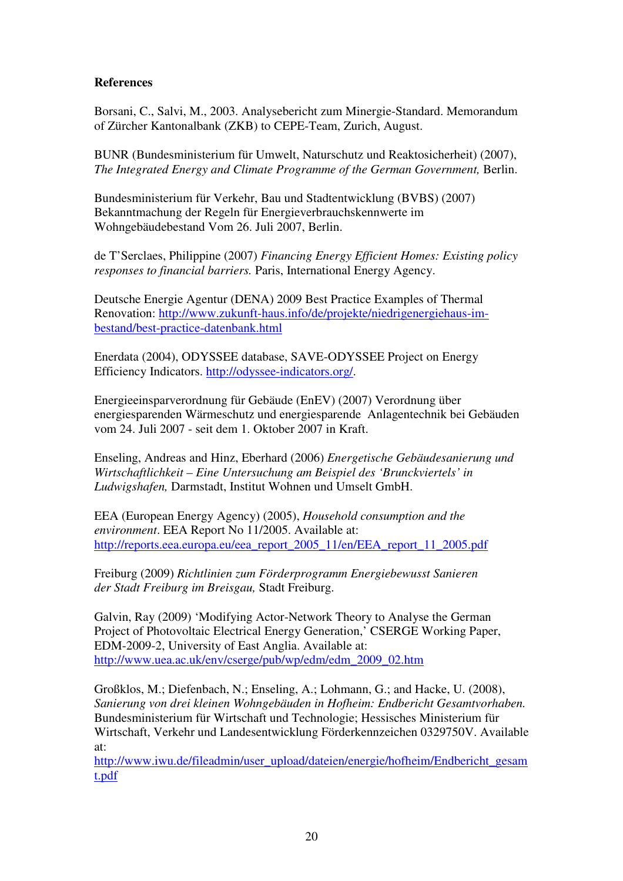# **References**

Borsani, C., Salvi, M., 2003. Analysebericht zum Minergie-Standard. Memorandum of Zürcher Kantonalbank (ZKB) to CEPE-Team, Zurich, August.

BUNR (Bundesministerium für Umwelt, Naturschutz und Reaktosicherheit) (2007), *The Integrated Energy and Climate Programme of the German Government,* Berlin.

Bundesministerium für Verkehr, Bau und Stadtentwicklung (BVBS) (2007) Bekanntmachung der Regeln für Energieverbrauchskennwerte im Wohngebäudebestand Vom 26. Juli 2007, Berlin.

de T'Serclaes, Philippine (2007) *Financing Energy Efficient Homes: Existing policy responses to financial barriers.* Paris, International Energy Agency.

Deutsche Energie Agentur (DENA) 2009 Best Practice Examples of Thermal Renovation: http://www.zukunft-haus.info/de/projekte/niedrigenergiehaus-imbestand/best-practice-datenbank.html

Enerdata (2004), ODYSSEE database, SAVE-ODYSSEE Project on Energy Efficiency Indicators. http://odyssee-indicators.org/.

Energieeinsparverordnung für Gebäude (EnEV) (2007) Verordnung über energiesparenden Wärmeschutz und energiesparende .Anlagentechnik bei Gebäuden vom 24. Juli 2007 - seit dem 1. Oktober 2007 in Kraft.

Enseling, Andreas and Hinz, Eberhard (2006) *Energetische Gebäudesanierung und Wirtschaftlichkeit – Eine Untersuchung am Beispiel des 'Brunckviertels' in Ludwigshafen,* Darmstadt, Institut Wohnen und Umselt GmbH.

EEA (European Energy Agency) (2005), *Household consumption and the environment*. EEA Report No 11/2005. Available at: http://reports.eea.europa.eu/eea\_report\_2005\_11/en/EEA\_report\_11\_2005.pdf

Freiburg (2009) *Richtlinien zum Förderprogramm Energiebewusst Sanieren der Stadt Freiburg im Breisgau,* Stadt Freiburg.

Galvin, Ray (2009) 'Modifying Actor-Network Theory to Analyse the German Project of Photovoltaic Electrical Energy Generation,' CSERGE Working Paper, EDM-2009-2, University of East Anglia. Available at: http://www.uea.ac.uk/env/cserge/pub/wp/edm/edm\_2009\_02.htm

Großklos, M.; Diefenbach, N.; Enseling, A.; Lohmann, G.; and Hacke, U. (2008), *Sanierung von drei kleinen Wohngebäuden in Hofheim: Endbericht Gesamtvorhaben.* Bundesministerium für Wirtschaft und Technologie; Hessisches Ministerium für Wirtschaft, Verkehr und Landesentwicklung Förderkennzeichen 0329750V. Available at:

http://www.iwu.de/fileadmin/user\_upload/dateien/energie/hofheim/Endbericht\_gesam t.pdf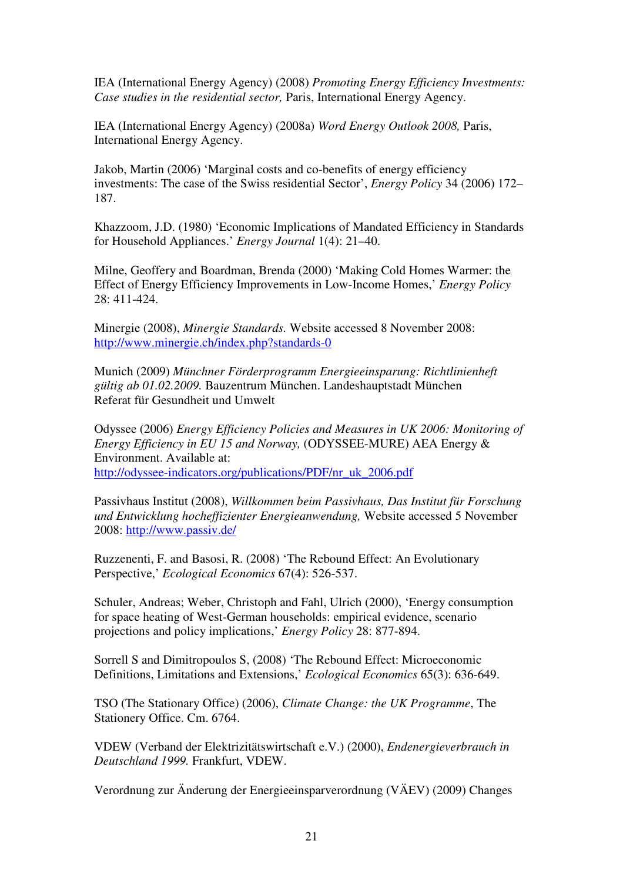IEA (International Energy Agency) (2008) *Promoting Energy Efficiency Investments: Case studies in the residential sector,* Paris, International Energy Agency.

IEA (International Energy Agency) (2008a) *Word Energy Outlook 2008,* Paris, International Energy Agency.

Jakob, Martin (2006) 'Marginal costs and co-benefits of energy efficiency investments: The case of the Swiss residential Sector', *Energy Policy* 34 (2006) 172– 187.

Khazzoom, J.D. (1980) 'Economic Implications of Mandated Efficiency in Standards for Household Appliances.' *Energy Journal* 1(4): 21–40.

Milne, Geoffery and Boardman, Brenda (2000) 'Making Cold Homes Warmer: the Effect of Energy Efficiency Improvements in Low-Income Homes,' *Energy Policy*  28: 411-424.

Minergie (2008), *Minergie Standards.* Website accessed 8 November 2008: http://www.minergie.ch/index.php?standards-0

Munich (2009) *Münchner Förderprogramm Energieeinsparung: Richtlinienheft gültig ab 01.02.2009.* Bauzentrum München. Landeshauptstadt München Referat für Gesundheit und Umwelt

Odyssee (2006) *Energy Efficiency Policies and Measures in UK 2006: Monitoring of Energy Efficiency in EU 15 and Norway,* (ODYSSEE-MURE) AEA Energy & Environment. Available at: http://odyssee-indicators.org/publications/PDF/nr\_uk\_2006.pdf

Passivhaus Institut (2008), *Willkommen beim Passivhaus, Das Institut für Forschung und Entwicklung hocheffizienter Energieanwendung,* Website accessed 5 November 2008: http://www.passiv.de/

Ruzzenenti, F. and Basosi, R. (2008) 'The Rebound Effect: An Evolutionary Perspective,' *Ecological Economics* 67(4): 526-537.

Schuler, Andreas; Weber, Christoph and Fahl, Ulrich (2000), 'Energy consumption for space heating of West-German households: empirical evidence, scenario projections and policy implications,' *Energy Policy* 28: 877-894.

Sorrell S and Dimitropoulos S, (2008) 'The Rebound Effect: Microeconomic Definitions, Limitations and Extensions,' *Ecological Economics* 65(3): 636-649.

TSO (The Stationary Office) (2006), *Climate Change: the UK Programme*, The Stationery Office. Cm. 6764.

VDEW (Verband der Elektrizitätswirtschaft e.V.) (2000), *Endenergieverbrauch in Deutschland 1999.* Frankfurt, VDEW.

Verordnung zur Änderung der Energieeinsparverordnung (VÄEV) (2009) Changes